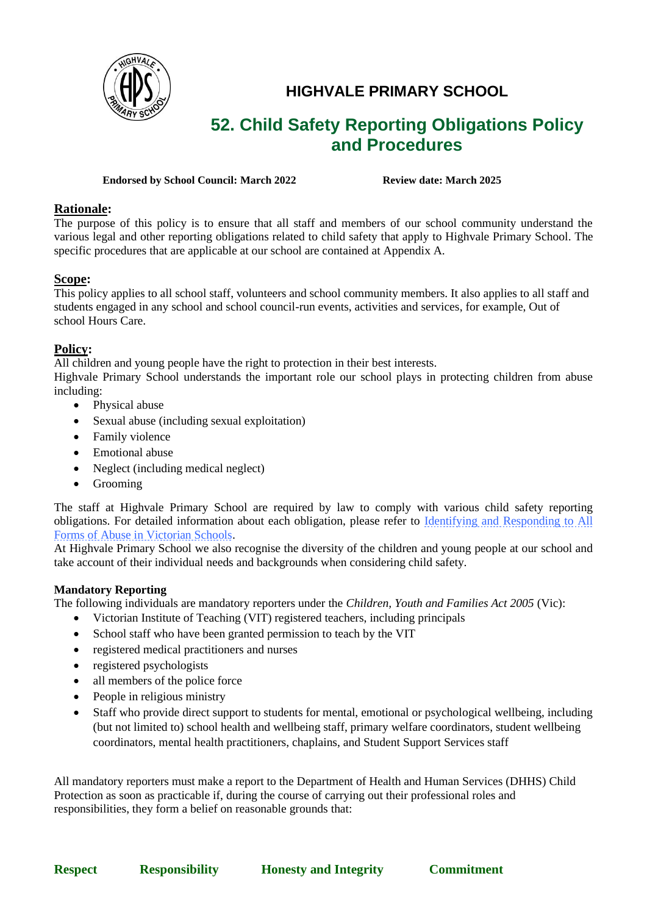

# **HIGHVALE PRIMARY SCHOOL**

# **52. Child Safety Reporting Obligations Policy and Procedures**

#### **Endorsed by School Council: March 2022 Review date: March 2025**

## **Rationale:**

The purpose of this policy is to ensure that all staff and members of our school community understand the various legal and other reporting obligations related to child safety that apply to Highvale Primary School. The specific procedures that are applicable at our school are contained at Appendix A.

# **Scope:**

This policy applies to all school staff, volunteers and school community members. It also applies to all staff and students engaged in any school and school council-run events, activities and services, for example, Out of school Hours Care.

# **Policy:**

All children and young people have the right to protection in their best interests.

Highvale Primary School understands the important role our school plays in protecting children from abuse including:

- Physical abuse
- Sexual abuse (including sexual exploitation)
- Family violence
- Emotional abuse
- Neglect (including medical neglect)
- Grooming

The staff at Highvale Primary School are required by law to comply with various child safety reporting obligations. For detailed information about each obligation, please refer to **Identifying and Responding to All** [Forms of Abuse in Victorian Schools.](https://www.education.vic.gov.au/Documents/about/programs/health/protect/ChildSafeStandard5_SchoolsGuide.pdf)

At Highvale Primary School we also recognise the diversity of the children and young people at our school and take account of their individual needs and backgrounds when considering child safety.

## **Mandatory Reporting**

The following individuals are mandatory reporters under the *Children, Youth and Families Act 2005* (Vic):

- Victorian Institute of Teaching (VIT) registered teachers, including principals
- School staff who have been granted permission to teach by the VIT
- registered medical practitioners and nurses
- registered psychologists
- all members of the police force
- People in religious ministry
- Staff who provide direct support to students for mental, emotional or psychological wellbeing, including (but not limited to) school health and wellbeing staff, primary welfare coordinators, student wellbeing coordinators, mental health practitioners, chaplains, and Student Support Services staff

All mandatory reporters must make a report to the Department of Health and Human Services (DHHS) Child Protection as soon as practicable if, during the course of carrying out their professional roles and responsibilities, they form a belief on reasonable grounds that: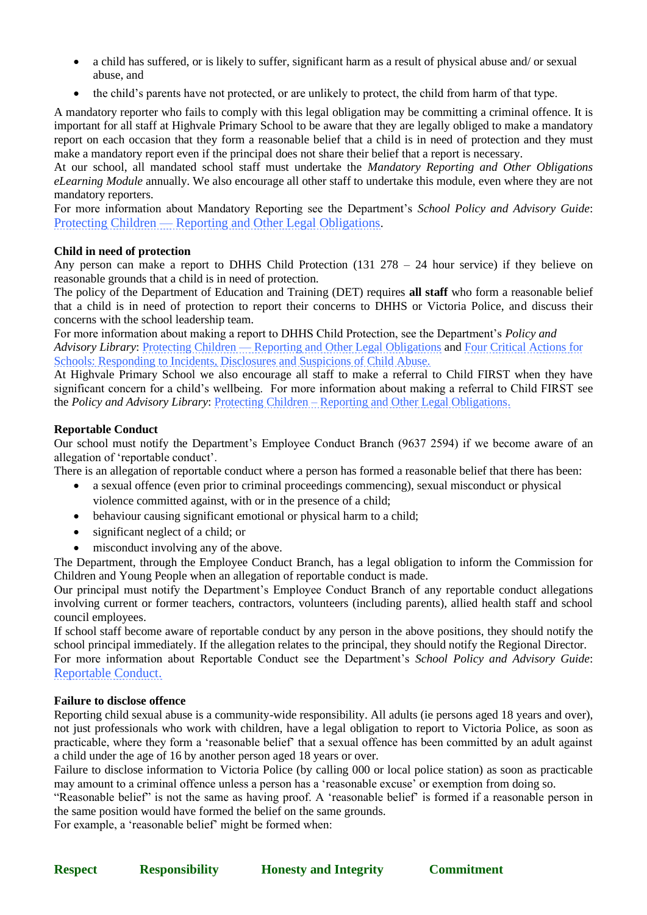- a child has suffered, or is likely to suffer, significant harm as a result of physical abuse and/ or sexual abuse, and
- the child's parents have not protected, or are unlikely to protect, the child from harm of that type.

A mandatory reporter who fails to comply with this legal obligation may be committing a criminal offence. It is important for all staff at Highvale Primary School to be aware that they are legally obliged to make a mandatory report on each occasion that they form a reasonable belief that a child is in need of protection and they must make a mandatory report even if the principal does not share their belief that a report is necessary.

At our school, all mandated school staff must undertake the *Mandatory Reporting and Other Obligations eLearning Module* annually. We also encourage all other staff to undertake this module, even where they are not mandatory reporters.

For more information about Mandatory Reporting see the Department's *School Policy and Advisory Guide*: Protecting Children — [Reporting and Other Legal Obligations](https://www2.education.vic.gov.au/pal/protecting-children/policy).

#### **Child in need of protection**

Any person can make a report to DHHS Child Protection  $(131\ 278 - 24\ 24)$  hour service) if they believe on reasonable grounds that a child is in need of protection.

The policy of the Department of Education and Training (DET) requires **all staff** who form a reasonable belief that a child is in need of protection to report their concerns to DHHS or Victoria Police, and discuss their concerns with the school leadership team.

For more information about making a report to DHHS Child Protection, see the Department's *Policy and Advisory Library*: Protecting Children — [Reporting and Other Legal Obligations](https://www2.education.vic.gov.au/pal/protecting-children/policy) and [Four Critical Actions for](https://www.education.vic.gov.au/Documents/about/programs/health/protect/FourCriticalActions_ChildAbuse.pdf)  Schools: Responding to [Incidents, Disclosures and Suspicions of Child Abuse.](https://www.education.vic.gov.au/Documents/about/programs/health/protect/FourCriticalActions_ChildAbuse.pdf)

At Highvale Primary School we also encourage all staff to make a referral to Child FIRST when they have significant concern for a child's wellbeing. For more information about making a referral to Child FIRST see the *Policy and Advisory Library*: Protecting Children – [Reporting and Other Legal Obligations.](https://www2.education.vic.gov.au/pal/protecting-children/policy)

#### **Reportable Conduct**

Our school must notify the Department's Employee Conduct Branch (9637 2594) if we become aware of an allegation of 'reportable conduct'.

There is an allegation of reportable conduct where a person has formed a reasonable belief that there has been:

- a sexual offence (even prior to criminal proceedings commencing), sexual misconduct or physical violence committed against, with or in the presence of a child;
- behaviour causing significant emotional or physical harm to a child:
- significant neglect of a child; or
- misconduct involving any of the above.

The Department, through the Employee Conduct Branch, has a legal obligation to inform the Commission for Children and Young People when an allegation of reportable conduct is made.

Our principal must notify the Department's Employee Conduct Branch of any reportable conduct allegations involving current or former teachers, contractors, volunteers (including parents), allied health staff and school council employees.

If school staff become aware of reportable conduct by any person in the above positions, they should notify the school principal immediately. If the allegation relates to the principal, they should notify the Regional Director. For more information about Reportable Conduct see the Department's *School Policy and Advisory Guide*: [Reportable Conduct.](https://www2.education.vic.gov.au/pal/reportable-conduct-scheme/policy)

#### **Failure to disclose offence**

Reporting child sexual abuse is a community-wide responsibility. All adults (ie persons aged 18 years and over), not just professionals who work with children, have a legal obligation to report to Victoria Police, as soon as practicable, where they form a 'reasonable belief' that a sexual offence has been committed by an adult against a child under the age of 16 by another person aged 18 years or over.

Failure to disclose information to Victoria Police (by calling 000 or local police station) as soon as practicable may amount to a criminal offence unless a person has a 'reasonable excuse' or exemption from doing so.

"Reasonable belief" is not the same as having proof. A 'reasonable belief' is formed if a reasonable person in the same position would have formed the belief on the same grounds.

For example, a 'reasonable belief' might be formed when: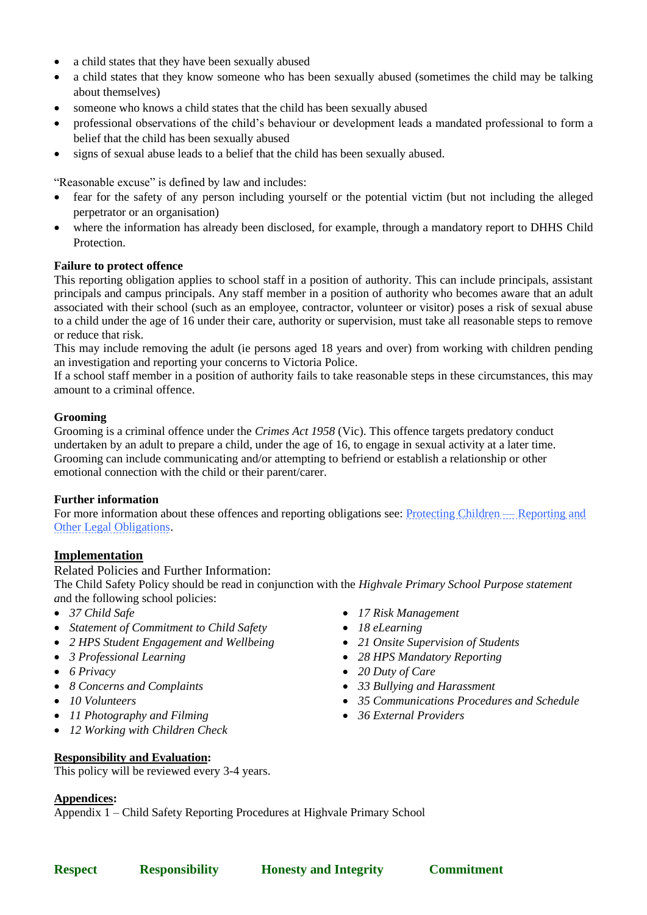- a child states that they have been sexually abused
- a child states that they know someone who has been sexually abused (sometimes the child may be talking about themselves)
- someone who knows a child states that the child has been sexually abused
- professional observations of the child's behaviour or development leads a mandated professional to form a belief that the child has been sexually abused
- signs of sexual abuse leads to a belief that the child has been sexually abused.

"Reasonable excuse" is defined by law and includes:

- fear for the safety of any person including yourself or the potential victim (but not including the alleged perpetrator or an organisation)
- where the information has already been disclosed, for example, through a mandatory report to DHHS Child Protection.

#### **Failure to protect offence**

This reporting obligation applies to school staff in a position of authority. This can include principals, assistant principals and campus principals. Any staff member in a position of authority who becomes aware that an adult associated with their school (such as an employee, contractor, volunteer or visitor) poses a risk of sexual abuse to a child under the age of 16 under their care, authority or supervision, must take all reasonable steps to remove or reduce that risk.

This may include removing the adult (ie persons aged 18 years and over) from working with children pending an investigation and reporting your concerns to Victoria Police.

If a school staff member in a position of authority fails to take reasonable steps in these circumstances, this may amount to a criminal offence.

#### **Grooming**

Grooming is a criminal offence under the *Crimes Act 1958* (Vic). This offence targets predatory conduct undertaken by an adult to prepare a child, under the age of 16, to engage in sexual activity at a later time. Grooming can include communicating and/or attempting to befriend or establish a relationship or other emotional connection with the child or their parent/carer.

## **Further information**

For more information about these offences and reporting obligations see: [Protecting Children —](https://www2.education.vic.gov.au/pal/protecting-children/policy) Reporting and [Other Legal Obligations.](https://www2.education.vic.gov.au/pal/protecting-children/policy)

## **Implementation**

## Related Policies and Further Information:

The Child Safety Policy should be read in conjunction with the *Highvale Primary School Purpose statement a*nd the following school policies:

- *37 Child Safe*
- *Statement of Commitment to Child Safety*
- *2 HPS Student Engagement and Wellbeing*
- *3 Professional Learning*
- *6 Privacy*
- *8 Concerns and Complaints*
- *10 Volunteers*
- *11 Photography and Filming*
- *12 Working with Children Check*

## **Responsibility and Evaluation:**

This policy will be reviewed every 3-4 years.

# **Appendices:**

Appendix 1 – Child Safety Reporting Procedures at Highvale Primary School

- *17 Risk Management*
- *18 eLearning*
- *21 Onsite Supervision of Students*
- *28 HPS Mandatory Reporting*
- *20 Duty of Care*
- *33 Bullying and Harassment*
- *35 Communications Procedures and Schedule*
- *36 External Providers*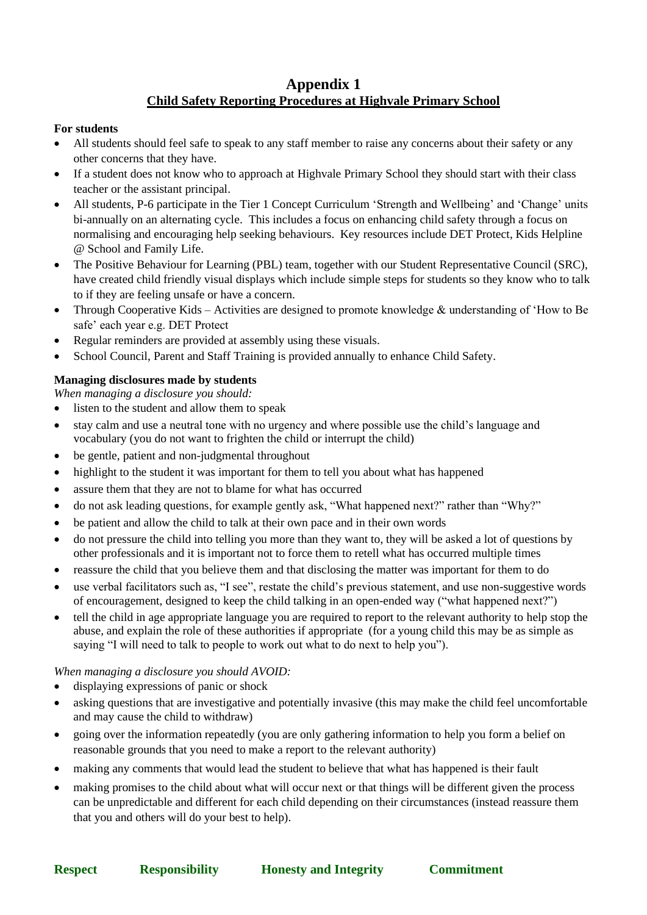# **Appendix 1 Child Safety Reporting Procedures at Highvale Primary School**

### **For students**

- All students should feel safe to speak to any staff member to raise any concerns about their safety or any other concerns that they have.
- If a student does not know who to approach at Highvale Primary School they should start with their class teacher or the assistant principal.
- All students, P-6 participate in the Tier 1 Concept Curriculum 'Strength and Wellbeing' and 'Change' units bi-annually on an alternating cycle. This includes a focus on enhancing child safety through a focus on normalising and encouraging help seeking behaviours. Key resources include DET Protect, Kids Helpline @ School and Family Life.
- The Positive Behaviour for Learning (PBL) team, together with our Student Representative Council (SRC), have created child friendly visual displays which include simple steps for students so they know who to talk to if they are feeling unsafe or have a concern.
- Through Cooperative Kids Activities are designed to promote knowledge & understanding of 'How to Be safe' each year e.g. DET Protect
- Regular reminders are provided at assembly using these visuals.
- School Council, Parent and Staff Training is provided annually to enhance Child Safety.

# **Managing disclosures made by students**

*When managing a disclosure you should:*

- listen to the student and allow them to speak
- stay calm and use a neutral tone with no urgency and where possible use the child's language and vocabulary (you do not want to frighten the child or interrupt the child)
- be gentle, patient and non-judgmental throughout
- highlight to the student it was important for them to tell you about what has happened
- assure them that they are not to blame for what has occurred
- do not ask leading questions, for example gently ask, "What happened next?" rather than "Why?"
- be patient and allow the child to talk at their own pace and in their own words
- do not pressure the child into telling you more than they want to, they will be asked a lot of questions by other professionals and it is important not to force them to retell what has occurred multiple times
- reassure the child that you believe them and that disclosing the matter was important for them to do
- use verbal facilitators such as, "I see", restate the child's previous statement, and use non-suggestive words of encouragement, designed to keep the child talking in an open-ended way ("what happened next?")
- tell the child in age appropriate language you are required to report to the relevant authority to help stop the abuse, and explain the role of these authorities if appropriate (for a young child this may be as simple as saying "I will need to talk to people to work out what to do next to help you").

## *When managing a disclosure you should AVOID:*

- displaying expressions of panic or shock
- asking questions that are investigative and potentially invasive (this may make the child feel uncomfortable and may cause the child to withdraw)
- going over the information repeatedly (you are only gathering information to help you form a belief on reasonable grounds that you need to make a report to the relevant authority)
- making any comments that would lead the student to believe that what has happened is their fault
- making promises to the child about what will occur next or that things will be different given the process can be unpredictable and different for each child depending on their circumstances (instead reassure them that you and others will do your best to help).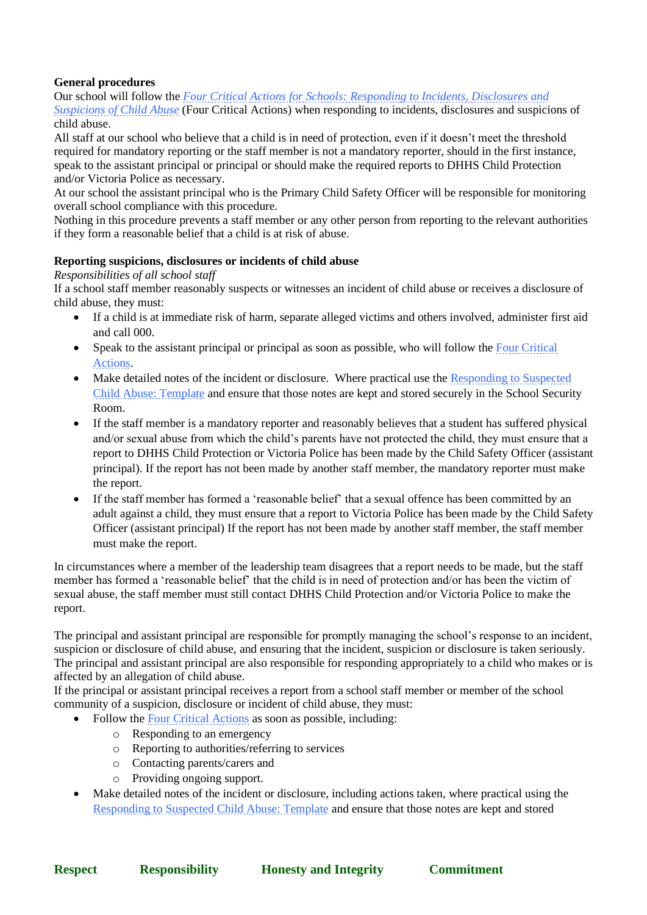# **General procedures**

Our school will follow the *Four Critical [Actions for Schools: Responding to Incidents, Disclosures and](https://www.education.vic.gov.au/Documents/about/programs/health/protect/FourCriticalActions_ChildAbuse.pdf)* 

*[Suspicions of Child Abuse](https://www.education.vic.gov.au/Documents/about/programs/health/protect/FourCriticalActions_ChildAbuse.pdf)* (Four Critical Actions) when responding to incidents, disclosures and suspicions of child abuse.

All staff at our school who believe that a child is in need of protection, even if it doesn't meet the threshold required for mandatory reporting or the staff member is not a mandatory reporter, should in the first instance, speak to the assistant principal or principal or should make the required reports to DHHS Child Protection and/or Victoria Police as necessary.

At our school the assistant principal who is the Primary Child Safety Officer will be responsible for monitoring overall school compliance with this procedure.

Nothing in this procedure prevents a staff member or any other person from reporting to the relevant authorities if they form a reasonable belief that a child is at risk of abuse.

#### **Reporting suspicions, disclosures or incidents of child abuse**

*Responsibilities of all school staff*

If a school staff member reasonably suspects or witnesses an incident of child abuse or receives a disclosure of child abuse, they must:

- If a child is at immediate risk of harm, separate alleged victims and others involved, administer first aid and call 000.
- Speak to the assistant principal or principal as soon as possible, who will follow the Four Critical [Actions.](https://www.education.vic.gov.au/Documents/about/programs/health/protect/FourCriticalActions_ChildAbuse.pdf)
- Make detailed notes of the incident or disclosure. Where practical use the [Responding to Suspected](https://www.education.vic.gov.au/Documents/about/programs/health/protect/PROTECT_Schoolstemplate.pdf)  [Child Abuse: Template](https://www.education.vic.gov.au/Documents/about/programs/health/protect/PROTECT_Schoolstemplate.pdf) and ensure that those notes are kept and stored securely in the School Security Room.
- If the staff member is a mandatory reporter and reasonably believes that a student has suffered physical and/or sexual abuse from which the child's parents have not protected the child, they must ensure that a report to DHHS Child Protection or Victoria Police has been made by the Child Safety Officer (assistant principal). If the report has not been made by another staff member, the mandatory reporter must make the report.
- If the staff member has formed a 'reasonable belief' that a sexual offence has been committed by an adult against a child, they must ensure that a report to Victoria Police has been made by the Child Safety Officer (assistant principal) If the report has not been made by another staff member, the staff member must make the report.

In circumstances where a member of the leadership team disagrees that a report needs to be made, but the staff member has formed a 'reasonable belief' that the child is in need of protection and/or has been the victim of sexual abuse, the staff member must still contact DHHS Child Protection and/or Victoria Police to make the report.

The principal and assistant principal are responsible for promptly managing the school's response to an incident, suspicion or disclosure of child abuse, and ensuring that the incident, suspicion or disclosure is taken seriously. The principal and assistant principal are also responsible for responding appropriately to a child who makes or is affected by an allegation of child abuse.

If the principal or assistant principal receives a report from a school staff member or member of the school community of a suspicion, disclosure or incident of child abuse, they must:

- Follow the [Four Critical Actions](https://www.education.vic.gov.au/Documents/about/programs/health/protect/FourCriticalActions_ChildAbuse.pdf) as soon as possible, including:
	- o Responding to an emergency
	- o Reporting to authorities/referring to services
	- o Contacting parents/carers and
	- o Providing ongoing support.
- Make detailed notes of the incident or disclosure, including actions taken, where practical using the [Responding to Suspected Child Abuse: Template](https://www.education.vic.gov.au/Documents/about/programs/health/protect/PROTECT_Schoolstemplate.pdf) and ensure that those notes are kept and stored